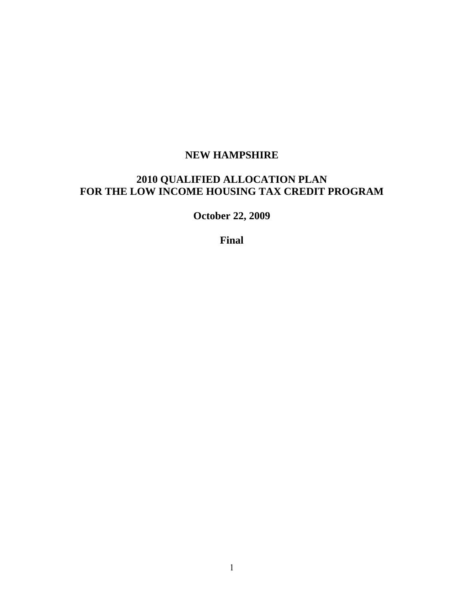# **NEW HAMPSHIRE**

# **2010 QUALIFIED ALLOCATION PLAN FOR THE LOW INCOME HOUSING TAX CREDIT PROGRAM**

**October 22, 2009** 

**Final**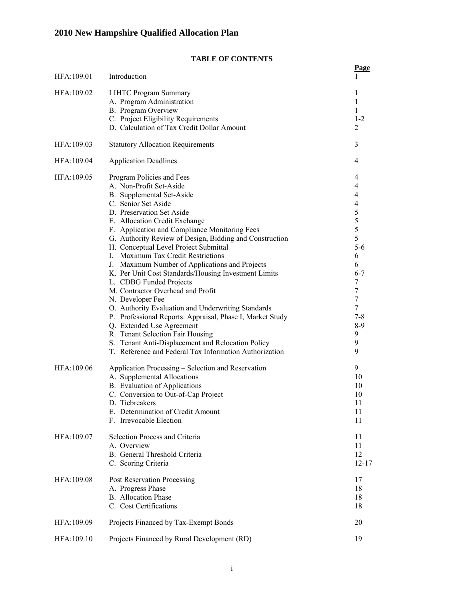# **TABLE OF CONTENTS**

|            |                                                                                                          | <b>Page</b> |
|------------|----------------------------------------------------------------------------------------------------------|-------------|
| HFA:109.01 | Introduction                                                                                             |             |
| HFA:109.02 | <b>LIHTC Program Summary</b>                                                                             | 1           |
|            | A. Program Administration                                                                                | 1           |
|            | B. Program Overview                                                                                      | 1           |
|            | C. Project Eligibility Requirements                                                                      | $1 - 2$     |
|            | D. Calculation of Tax Credit Dollar Amount                                                               | 2           |
| HFA:109.03 | <b>Statutory Allocation Requirements</b>                                                                 | 3           |
| HFA:109.04 | <b>Application Deadlines</b>                                                                             | 4           |
| HFA:109.05 | Program Policies and Fees                                                                                | 4           |
|            | A. Non-Profit Set-Aside                                                                                  | 4           |
|            | B. Supplemental Set-Aside                                                                                | 4           |
|            | C. Senior Set Aside                                                                                      | 4           |
|            | D. Preservation Set Aside                                                                                | 5           |
|            | E. Allocation Credit Exchange                                                                            | 5<br>5      |
|            | F. Application and Compliance Monitoring Fees<br>G. Authority Review of Design, Bidding and Construction | 5           |
|            | H. Conceptual Level Project Submittal                                                                    | $5-6$       |
|            | I. Maximum Tax Credit Restrictions                                                                       | 6           |
|            | J. Maximum Number of Applications and Projects                                                           | 6           |
|            | K. Per Unit Cost Standards/Housing Investment Limits                                                     | $6 - 7$     |
|            | L. CDBG Funded Projects                                                                                  | 7           |
|            | M. Contractor Overhead and Profit                                                                        | 7           |
|            | N. Developer Fee                                                                                         | 7           |
|            | O. Authority Evaluation and Underwriting Standards                                                       | 7           |
|            | P. Professional Reports: Appraisal, Phase I, Market Study                                                | $7 - 8$     |
|            | Q. Extended Use Agreement<br>R. Tenant Selection Fair Housing                                            | $8-9$<br>9  |
|            | S. Tenant Anti-Displacement and Relocation Policy                                                        | 9           |
|            | T. Reference and Federal Tax Information Authorization                                                   | 9           |
| HFA:109.06 | Application Processing – Selection and Reservation                                                       | 9           |
|            | A. Supplemental Allocations                                                                              | 10          |
|            | <b>B.</b> Evaluation of Applications                                                                     | 10          |
|            | C. Conversion to Out-of-Cap Project                                                                      | 10          |
|            | D. Tiebreakers                                                                                           | 11          |
|            | E. Determination of Credit Amount                                                                        | 11          |
|            | F. Irrevocable Election                                                                                  | 11          |
| HFA:109.07 | Selection Process and Criteria                                                                           | 11          |
|            | A. Overview                                                                                              | 11          |
|            | B. General Threshold Criteria                                                                            | 12          |
|            | C. Scoring Criteria                                                                                      | $12 - 17$   |
| HFA:109.08 | Post Reservation Processing                                                                              | 17          |
|            | A. Progress Phase                                                                                        | 18          |
|            | <b>B.</b> Allocation Phase                                                                               | 18          |
|            | C. Cost Certifications                                                                                   | 18          |
| HFA:109.09 | Projects Financed by Tax-Exempt Bonds                                                                    | 20          |
| HFA:109.10 | Projects Financed by Rural Development (RD)                                                              | 19          |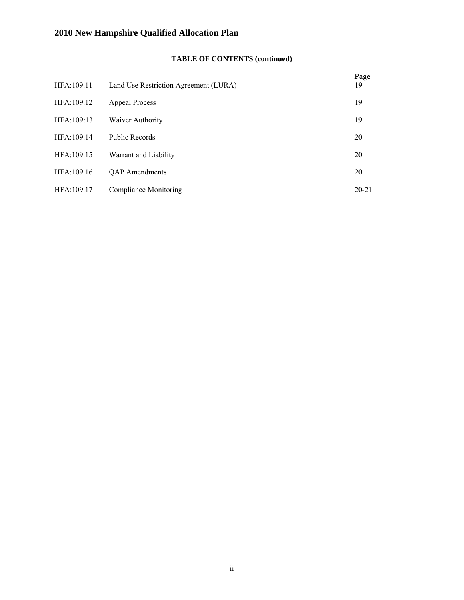# **TABLE OF CONTENTS (continued)**

| HFA:109.11 | Land Use Restriction Agreement (LURA) | <b>Page</b><br>19 |
|------------|---------------------------------------|-------------------|
| HFA:109.12 | Appeal Process                        | 19                |
| HFA:109:13 | Waiver Authority                      | 19                |
| HFA:109.14 | <b>Public Records</b>                 | 20                |
| HFA:109.15 | Warrant and Liability                 | 20                |
| HFA:109.16 | <b>QAP</b> Amendments                 | 20                |
| HFA:109.17 | Compliance Monitoring                 | $20 - 21$         |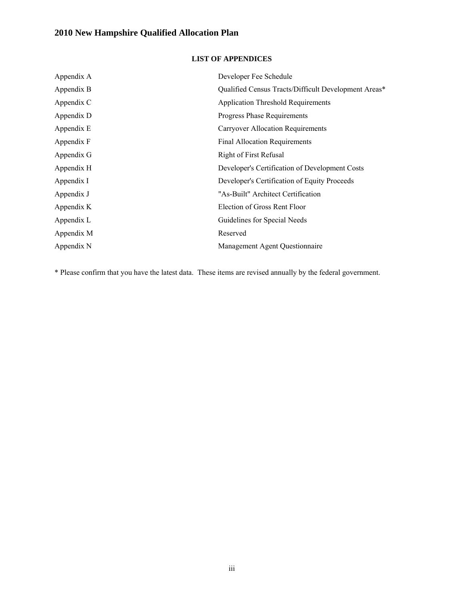# **LIST OF APPENDICES**

| Appendix A | Developer Fee Schedule                               |
|------------|------------------------------------------------------|
| Appendix B | Qualified Census Tracts/Difficult Development Areas* |
| Appendix C | <b>Application Threshold Requirements</b>            |
| Appendix D | <b>Progress Phase Requirements</b>                   |
| Appendix E | Carryover Allocation Requirements                    |
| Appendix F | <b>Final Allocation Requirements</b>                 |
| Appendix G | <b>Right of First Refusal</b>                        |
| Appendix H | Developer's Certification of Development Costs       |
| Appendix I | Developer's Certification of Equity Proceeds         |
| Appendix J | "As-Built" Architect Certification                   |
| Appendix K | Election of Gross Rent Floor                         |
| Appendix L | Guidelines for Special Needs                         |
| Appendix M | Reserved                                             |
| Appendix N | Management Agent Questionnaire                       |

\* Please confirm that you have the latest data. These items are revised annually by the federal government.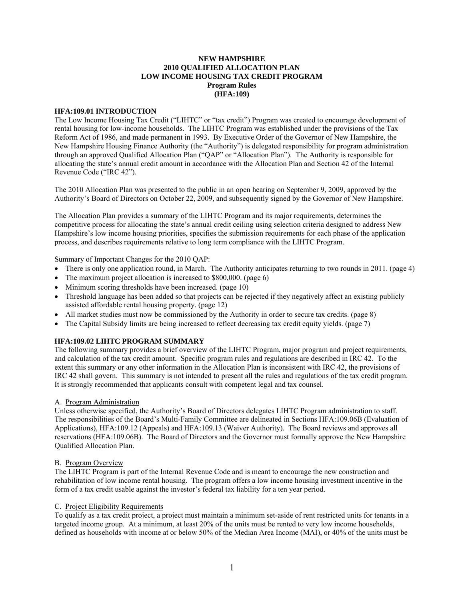#### **NEW HAMPSHIRE 2010 QUALIFIED ALLOCATION PLAN LOW INCOME HOUSING TAX CREDIT PROGRAM Program Rules (HFA:109)**

#### **HFA:109.01 INTRODUCTION**

The Low Income Housing Tax Credit ("LIHTC" or "tax credit") Program was created to encourage development of rental housing for low-income households. The LIHTC Program was established under the provisions of the Tax Reform Act of 1986, and made permanent in 1993. By Executive Order of the Governor of New Hampshire, the New Hampshire Housing Finance Authority (the "Authority") is delegated responsibility for program administration through an approved Qualified Allocation Plan ("QAP" or "Allocation Plan"). The Authority is responsible for allocating the state's annual credit amount in accordance with the Allocation Plan and Section 42 of the Internal Revenue Code ("IRC 42").

The 2010 Allocation Plan was presented to the public in an open hearing on September 9, 2009, approved by the Authority's Board of Directors on October 22, 2009, and subsequently signed by the Governor of New Hampshire.

The Allocation Plan provides a summary of the LIHTC Program and its major requirements, determines the competitive process for allocating the state's annual credit ceiling using selection criteria designed to address New Hampshire's low income housing priorities, specifies the submission requirements for each phase of the application process, and describes requirements relative to long term compliance with the LIHTC Program.

Summary of Important Changes for the 2010 QAP:

- There is only one application round, in March. The Authority anticipates returning to two rounds in 2011. (page 4)
- The maximum project allocation is increased to \$800,000. (page 6)
- Minimum scoring thresholds have been increased. (page 10)
- Threshold language has been added so that projects can be rejected if they negatively affect an existing publicly assisted affordable rental housing property. (page 12)
- All market studies must now be commissioned by the Authority in order to secure tax credits. (page 8)
- The Capital Subsidy limits are being increased to reflect decreasing tax credit equity yields. (page 7)

#### **HFA:109.02 LIHTC PROGRAM SUMMARY**

The following summary provides a brief overview of the LIHTC Program, major program and project requirements, and calculation of the tax credit amount. Specific program rules and regulations are described in IRC 42. To the extent this summary or any other information in the Allocation Plan is inconsistent with IRC 42, the provisions of IRC 42 shall govern. This summary is not intended to present all the rules and regulations of the tax credit program. It is strongly recommended that applicants consult with competent legal and tax counsel.

#### A. Program Administration

Unless otherwise specified, the Authority's Board of Directors delegates LIHTC Program administration to staff. The responsibilities of the Board's Multi-Family Committee are delineated in Sections HFA:109.06B (Evaluation of Applications), HFA:109.12 (Appeals) and HFA:109.13 (Waiver Authority). The Board reviews and approves all reservations (HFA:109.06B). The Board of Directors and the Governor must formally approve the New Hampshire Qualified Allocation Plan.

#### B. Program Overview

The LIHTC Program is part of the Internal Revenue Code and is meant to encourage the new construction and rehabilitation of low income rental housing. The program offers a low income housing investment incentive in the form of a tax credit usable against the investor's federal tax liability for a ten year period.

#### C. Project Eligibility Requirements

To qualify as a tax credit project, a project must maintain a minimum set-aside of rent restricted units for tenants in a targeted income group. At a minimum, at least 20% of the units must be rented to very low income households, defined as households with income at or below 50% of the Median Area Income (MAI), or 40% of the units must be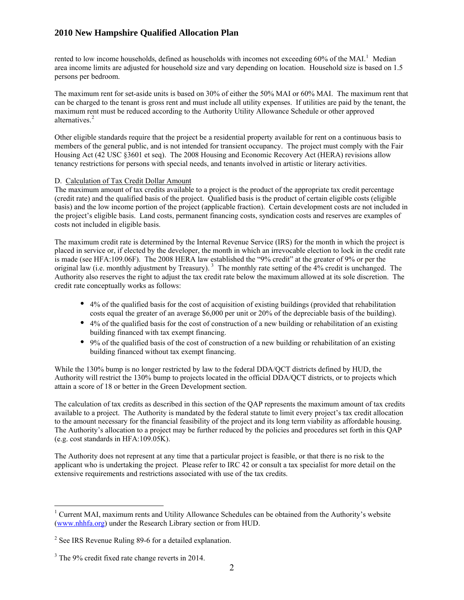rented to low income households, defined as households with incomes not exceeding  $60\%$  of the MAI.<sup>[1](#page-5-0)</sup> Median area income limits are adjusted for household size and vary depending on location. Household size is based on 1.5 persons per bedroom.

The maximum rent for set-aside units is based on 30% of either the 50% MAI or 60% MAI. The maximum rent that can be charged to the tenant is gross rent and must include all utility expenses. If utilities are paid by the tenant, the maximum rent must be reduced according to the Authority Utility Allowance Schedule or other approved alternatives.<sup>[2](#page-5-1)</sup>

Other eligible standards require that the project be a residential property available for rent on a continuous basis to members of the general public, and is not intended for transient occupancy. The project must comply with the Fair Housing Act (42 USC §3601 et seq). The 2008 Housing and Economic Recovery Act (HERA) revisions allow tenancy restrictions for persons with special needs, and tenants involved in artistic or literary activities.

#### D. Calculation of Tax Credit Dollar Amount

The maximum amount of tax credits available to a project is the product of the appropriate tax credit percentage (credit rate) and the qualified basis of the project. Qualified basis is the product of certain eligible costs (eligible basis) and the low income portion of the project (applicable fraction). Certain development costs are not included in the project's eligible basis. Land costs, permanent financing costs, syndication costs and reserves are examples of costs not included in eligible basis.

The maximum credit rate is determined by the Internal Revenue Service (IRS) for the month in which the project is placed in service or, if elected by the developer, the month in which an irrevocable election to lock in the credit rate is made (see HFA:109.06F). The 2008 HERA law established the "9% credit" at the greater of 9% or per the original law (i.e. monthly adjustment by Treasury).<sup>[3](#page-5-2)</sup> The monthly rate setting of the  $4\%$  credit is unchanged. The Authority also reserves the right to adjust the tax credit rate below the maximum allowed at its sole discretion. The credit rate conceptually works as follows:

- 4% of the qualified basis for the cost of acquisition of existing buildings (provided that rehabilitation costs equal the greater of an average \$6,000 per unit or 20% of the depreciable basis of the building).
- 4% of the qualified basis for the cost of construction of a new building or rehabilitation of an existing building financed with tax exempt financing.
- 9% of the qualified basis of the cost of construction of a new building or rehabilitation of an existing building financed without tax exempt financing.

While the 130% bump is no longer restricted by law to the federal DDA/QCT districts defined by HUD, the Authority will restrict the 130% bump to projects located in the official DDA/QCT districts, or to projects which attain a score of 18 or better in the Green Development section.

The calculation of tax credits as described in this section of the QAP represents the maximum amount of tax credits available to a project. The Authority is mandated by the federal statute to limit every project's tax credit allocation to the amount necessary for the financial feasibility of the project and its long term viability as affordable housing. The Authority's allocation to a project may be further reduced by the policies and procedures set forth in this QAP (e.g. cost standards in HFA:109.05K).

The Authority does not represent at any time that a particular project is feasible, or that there is no risk to the applicant who is undertaking the project. Please refer to IRC 42 or consult a tax specialist for more detail on the extensive requirements and restrictions associated with use of the tax credits.

<span id="page-5-0"></span><sup>&</sup>lt;sup>1</sup> Current MAI, maximum rents and Utility Allowance Schedules can be obtained from the Authority's website [\(www.nhhfa.org](http://www.nhhfa.org/)) under the Research Library section or from HUD.

<span id="page-5-1"></span><sup>&</sup>lt;sup>2</sup> See IRS Revenue Ruling 89-6 for a detailed explanation.

<span id="page-5-2"></span><sup>&</sup>lt;sup>3</sup> The 9% credit fixed rate change reverts in 2014.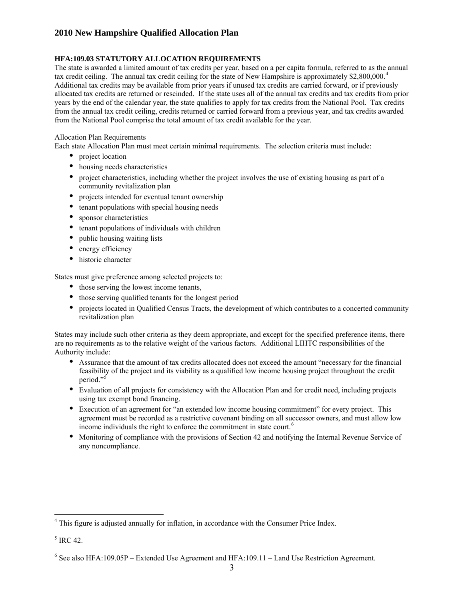## **HFA:109.03 STATUTORY ALLOCATION REQUIREMENTS**

The state is awarded a limited amount of tax credits per year, based on a per capita formula, referred to as the annual from the annual tax credit ceiling, credits returned or carried forward from a previous year, and tax credits awarded from the National Pool comprise the total amount of tax credit available for the year. tax credit ceiling. The annual tax credit ceiling for the state of New Hampshire is approximately \$2,800,000.<sup>[4](#page-6-0)</sup> Additional tax credits may be available from prior years if unused tax credits are carried forward, or if previously allocated tax credits are returned or rescinded. If the state uses all of the annual tax credits and tax credits from prior years by the end of the calendar year, the state qualifies to apply for tax credits from the National Pool. Tax credits

### Allocation Plan Requirements

Each state Allocation Plan must meet certain minimal requirements. The selection criteria must include:

- project location
- housing needs characteristics
- project characteristics, including whether the project involves the use of existing housing as part of a community revitalization plan
- projects intended for eventual tenant ownership
- tenant populations with special housing needs
- sponsor characteristics
- tenant populations of individuals with children
- public housing waiting lists
- energy efficiency
- historic character

Stat es must give preference among selected projects to:

- those serving the lowest income tenants,
- those serving qualified tenants for the longest period
- projects located in Qualified Census Tracts, the development of which contributes to a concerted community revitalization plan

States may include such other criteria as they deem appropriate, and except for the specified preference items, there are no r equirements as to the relative weight of the various factors. Additional LIHTC responsibilities of the Aut hority include:

- Assurance that the amount of tax credits allocated does not exceed the amount "necessary for the financial feasibility of the project and its viability as a qualified low income housing project throughout the credit period."<sup>[5](#page-6-1)</sup>
- Evaluation of all projects for consistency with the Allocation Plan and for credit need, including projects using tax exempt bond financing.
- Execution of an agreement for "an extended low income housing commitment" for every project. This agreement must be recorded as a restrictive covenant binding on all successor owners, and must allow low income individuals the right to enforce the commitment in state court.<sup>6</sup>
- Monitoring of compliance with the provisions of Section 42 and notifying the Internal Revenue Service of any noncompliance.

<span id="page-6-0"></span><sup>&</sup>lt;sup>4</sup> This figure is adjusted annually for inflation, in accordance with the Consumer Price Index.

 $<sup>5</sup>$  IRC 42.</sup>

<span id="page-6-1"></span><sup>&</sup>lt;sup>6</sup> See also HFA:109.05P – Extended Use Agreement and HFA:109.11 – Land Use Restriction Agreement.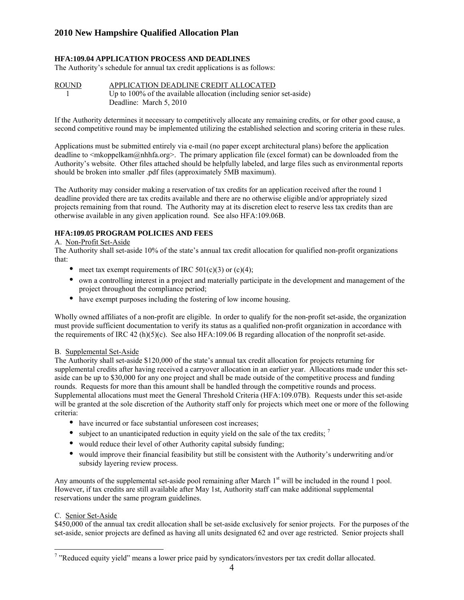### **HFA:109.04 APPLICATION PROCESS AND DEADLINES**

The Authority's schedule for annual tax credit applications is as follows:

### ROUND APPLICATION DEADLINE CREDIT ALLOCATED 1 Up to 100% of the available allocation (including senior set-aside) Deadline: March 5, 2010

second competitive round may be implemented utilizing the established selection and scoring criteria in these rules. If the Authority determines it necessary to competitively allocate any remaining credits, or for other good cause, a

deadline to  $\leq$ mkoppelkam@nhhfa.org>. The primary application file (excel format) can be downloaded from the Applications must be submitted entirely via e-mail (no paper except architectural plans) before the application Authority's website. Other files attached should be helpfully labeled, and large files such as environmental reports should be broken into smaller .pdf files (approximately 5MB maximum).

The Authority may consider making a reservation of tax credits for an application received after the round 1 deadline provided there are tax credits available and there are no otherwise eligible and/or appropriately sized otherwise available in any given application round. See also HFA:109.06B. projects remaining from that round. The Authority may at its discretion elect to reserve less tax credits than are

### **HFA :109.05 PROGRAM POLICIES AND FEES**

#### A. Non -Profit Set-Aside

The Authority shall set-aside 10% of the state's annual tax credit allocation for qualified non-profit organizations that:

- meet tax exempt requirements of IRC  $501(c)(3)$  or  $(c)(4)$ ;
- own a controlling interest in a project and materially participate in the development and management of the project throughout the compliance period;
- have exempt purposes including the fostering of low income housing.

Wholly owned affiliates of a non-profit are eligible. In order to qualify for the non-profit set-aside, the organization must provide sufficient documentation to verify its status as a qualified non-profit organization in accordance with the requirements of IRC 42 (h)(5)(c). See also HFA:109.06 B regarding allocation of the nonprofit set-aside.

#### B. Supplemental Set-Aside

The Authority shall set-aside \$120,000 of the state's annual tax credit allocation for projects returning for supplemental credits after having received a carryover allocation in an earlier year. Allocations made under this setaside can be up to \$30,000 for any one project and shall be made outside of the competitive process and funding rounds. Requests for more than this amount shall be handled through the competitive rounds and process. Supplemental allocations must meet the General Threshold Criteria (HFA:109.07B). Requests under this set-aside will be granted at the sole discretion of the Authority staff only for projects which meet one or more of the following criteria:

- have incurred or face substantial unforeseen cost increases:
- subject to an unanticipated reduction in equity yield on the sale of the tax credits;  $\frac{7}{1}$
- would reduce their level of other Authority capital subsidy funding;
- would improve their financial feasibility but still be consistent with the Authority's underwriting and/or subsidy layering review process.

Any amounts of the supplemental set-aside pool remaining after March  $1<sup>st</sup>$  will be included in the round 1 pool. However, if tax credits are still available after May 1st, Authority staff can make additional supplemental reservations under the same program guidelines.

#### C. Senior Set-Aside

\$450,000 of the annual tax credit allocation shall be set-aside exclusively for senior projects. For the purposes of the set-aside, senior projects are defined as having all units designated 62 and over age restricted. Senior projects shall

 $\overline{a}$ <sup>7</sup> "Reduced equity yield" means a lower price paid by syndicators/investors per tax credit dollar allocated.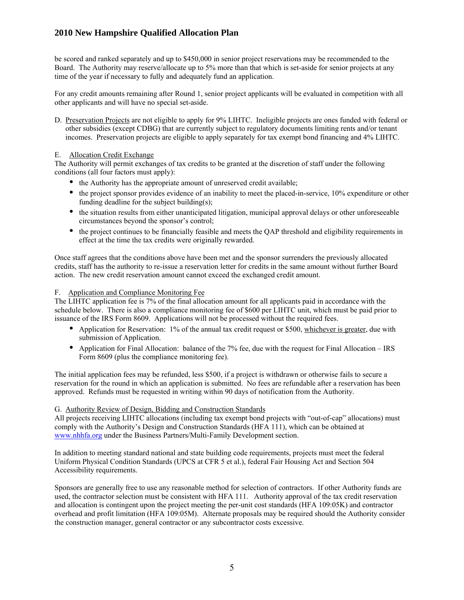Bo ard. The Authority may reserve/allocate up to 5% more than that which is set-aside for senior projects at any tim e of the year if necessary to fully and adequately fund an application. be scored and ranked separately and up to \$450,000 in senior project reservations may be recommended to the

For any credit amounts remaining after Round 1, senior project applicants will be evaluated in competition with all other applicants and will have no special set-aside.

D. Preservation Projects are not eligible to apply for 9% LIHTC. Ineligible projects are ones funded with federal or o ther subsidies (except CDBG) that are currently subject to regulatory documents limiting rents and/or tenant incomes. Preservation projects are eligible to apply separately for tax exempt bond financing and 4% LIHTC.

### E. Allocation Credit Exchange

The Authority will permit exchanges of tax credits to be granted at the discretion of staff under the following cond itions (all four factors must apply):

- the Authority has the appropriate amount of unreserved credit available;
- the project sponsor provides evidence of an inability to meet the placed-in-service, 10% expenditure or other funding deadline for the subject building(s);
- the situation results from either unanticipated litigation, municipal approval delays or other unforeseeable circumstances beyond the sponsor's control;
- the project continues to be financially feasible and meets the QAP threshold and eligibility requirements in effect at the time the tax credits were originally rewarded.

credits, staff has the authority to re-issue a reservation letter for credits in the same amount without further Board action. The new credit reservation amount cannot exceed the exchanged credit amount. Once staff agrees that the conditions above have been met and the sponsor surrenders the previously allocated

### F. Application and Compliance Monitoring Fee

The LIHTC application fee is 7% of the final allocation amount for all applicants paid in accordance with the schedule below. There is also a compliance monitoring fee of \$600 per LIHTC unit, which must be paid prior to issuance of the IRS Form 8609. Applications will not be processed without the required fees.

- Application for Reservation: 1% of the annual tax credit request or \$500, whichever is greater, due with submission of Application.
- Application for Final Allocation: balance of the 7% fee, due with the request for Final Allocation IRS Form 8609 (plus the compliance monitoring fee).

reservation for the round in which an application is submitted. No fees are refundable after a reservation has been The initial application fees may be refunded, less \$500, if a project is withdrawn or otherwise fails to secure a approved. Refunds must be requested in writing within 90 days of notification from the Authority.

# G. Authority Review of Design, Bidding and Construction Standards

All projects receiving LIHTC allocations (including tax exempt bond projects with "out-of-cap" allocations) must comply with the Authority's Design and Construction Standards (HFA 111), which can be obtained at www.nhhfa.org under the Business Partners/Multi-Family Development section.

In addition to meeting standard national and state building code requirements, projects must meet the federal Uniform Physical Condition Standards (UPCS at CFR 5 et al.), federal Fair Housing Act and Section 504 Accessibility requirements.

Sponsors are generally free to use any reasonable method for selection of contractors. If other Authority funds are the construction manager, general contractor or any subcontractor costs excessive. used, the contractor selection must be consistent with HFA 111. Authority approval of the tax credit reservation and allocation is contingent upon the project meeting the per-unit cost standards (HFA 109:05K) and contractor overhead and profit limitation (HFA 109:05M). Alternate proposals may be required should the Authority consider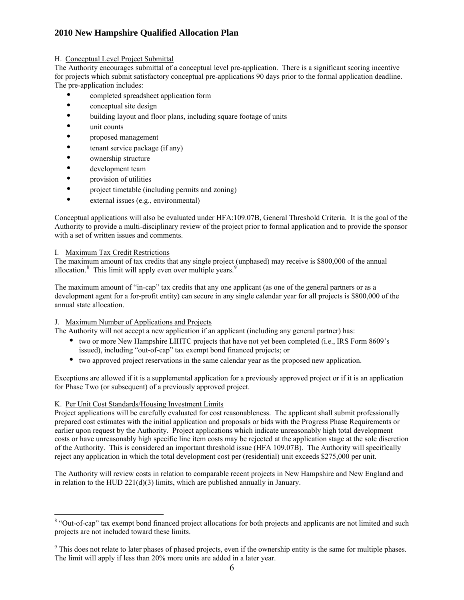## H. Conceptual Level Project Submittal

The Authority encourages submittal of a conceptual level pre-application. There is a significant scoring incentive for projects which submit satisfactory conceptual pre-applications 90 days prior to the formal application deadline. The pre-application includes:

- completed spreadsheet application form
- conceptual site design
- building layout and floor plans, including square footage of units
- unit counts
- proposed management
- tenant service package (if any)
- ownership structure
- development team
- provision of utilities
- project timetable (including permits and zoning)
- external issues (e.g., environmental)

Conceptual applications will also be evaluated under HFA:109.07B, General Threshold Criteria. It is the goal of the Authority to provide a multi-disciplinary review of the project prior to formal application and to provide the sponsor with a set of written issues and comments.

#### I. Maximum Tax Credit Restrictions

The maximum amount of tax credits that any single project (unphased) may receive is \$800,000 of the annual allocation.<sup>8</sup> This limit will apply even over multiple years.<sup>9</sup>

development agent for a for-profit entity) can secure in any single calendar year for all projects is \$800,000 of the The maximum amount of "in-cap" tax credits that any one applicant (as one of the general partners or as a annual state allocation.

#### J. Maximum Number of Applications and Projects

The Authority will not accept a new application if an applicant (including any general partner) has:

- two or more New Hampshire LIHTC projects that have not yet been completed (i.e., IRS Form 8609's issued), including "out-of-cap" tax exempt bond financed projects; or
- two approved project reservations in the same calendar year as the proposed new application.

Exceptions are allowed if it is a supplemental application for a previously approved project or if it is an application for Phase Two (or subsequent) of a previously approved project.

#### K. Per Unit Cost Standards/Housing Investment Limits

 $\overline{a}$ 

Project applications will be carefully evaluated for cost reasonableness. The applicant shall submit professionally prepared cost estimates with the initial application and proposals or bids with the Progress Phase Requirements or earlier upon request by the Authority. Project applications which indicate unreasonably high total development of th e Authority. This is considered an important threshold issue (HFA 109.07B). The Authority will specifically reje ct any application in which the total development cost per (residential) unit exceeds \$275,000 per unit. costs or have unreasonably high specific line item costs may be rejected at the application stage at the sole discretion

The Authority will review costs in relation to comparable recent projects in New Hampshire and New England and in relation to the HUD 221(d)(3) limits, which are published annually in January.

<sup>&</sup>lt;sup>8</sup> "Out-of-cap" tax exempt bond financed project allocations for both projects and applicants are not limited and such projects are not included toward these limits.

<sup>&</sup>lt;sup>9</sup> This does not relate to later phases of phased projects, even if the ownership entity is the same for multiple phases. The limit will apply if less than 20% more units are added in a later year.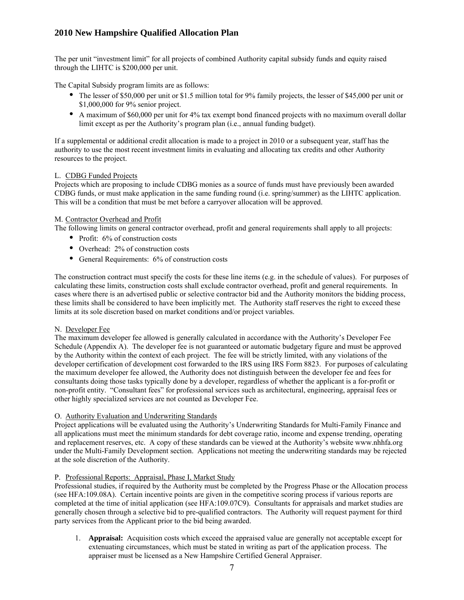The per unit "investment limit" for all projects of combined Authority capital subsidy funds and equity raised through the LIHTC is  $$200,000$  per unit.

The Capital Subsidy program limits are as follows:

- The lesser of \$50,000 per unit or \$1.5 million total for 9% family projects, the lesser of \$45,000 per unit or \$1,000,000 for 9% senior project.
- A maximum of \$60,000 per unit for 4% tax exempt bond financed projects with no maximum overall dollar limit except as per the Authority's program plan (i.e., annual funding budget).

If a supplemental or additional credit allocation is made to a project in 2010 or a subsequent year, staff has the authority to use the most recent investment limits in evaluating and allocating tax credits and other Authority resources to the project.

### L. CDBG Funded Projects

Projects which are proposing to include CDBG monies as a source of funds must have previously been awarded CDBG funds, or must make application in the same funding round (i.e. spring/summer) as the LIHTC application. This will be a condition that must be met before a carryover allocation will be approved.

### M. Contractor Overhead and Profit

The following limits on general contractor overhead, profit and general requirements shall apply to all projects:

- Profit:  $6\%$  of construction costs
- Overhead: 2% of construction costs
- General Requirements: 6% of construction costs

The construction contract must specify the costs for these line items (e.g. in the schedule of values). For purposes of calculating these limits, construction costs shall exclude contractor o verhead, profit and general requirements. In cases where there is an advertised public or selective contractor bid and the Authority monitors the bidding process, these limits shall be considered to have been implicitly met. The Authority staff reserves the right to exceed these limits at its sole discretion based on market conditions and/or project variables.

#### N. Developer Fee

The maximum developer fee allowed is generally calculated in accordance with the Authority's Developer Fee Schedule (Appendix A). The developer fee is not guaranteed or automatic budgetary figure and must be approved by the Authority within the context of each project. The fee will be strictly limited, with any violations of the developer certification of development cost forwarded to the IRS using IRS Form 8823. For purposes of calculating the maximum developer fee allowed, the Authority does not distinguish between the developer fee and fees for consultants doing those tasks typically done by a developer, regardless of whether the applicant is a for-profit or non-profit entity. "Consultant fees" for professional services such as architectural, engineering, appraisal fees or other highly specialized services are not counted as Developer Fee.

### O. **Authority Evaluation and Underwriting Standards**

Project app lications will be evaluated using the Authority's Underwriting Standards for Multi-Family Finance and all applications must meet the minimum standards for debt coverage ratio, income and expense trending, operating and replacement reserves, etc. A copy of these standards can be viewed at the Authority's website www.nhhfa.org under the Multi-Family Development section. Applications not meeting the underwriting standards may be rejected at the sole discretion of the Authority.

#### P. Professional Reports: Appraisal, Phase I, Market Study

Professional studies, if required by the Authority must be completed by the Progress Phase or the Allocation process (see HFA:109.08A). Certain incentive points are given in the competitive scoring process if various reports are completed at the time of initial application (see HFA:109.07C9). Consultants for appraisals and market studies are generally chosen through a selective bid to pre-qualified contractors. The Authority will request payment for third party services from the Applicant prior to the bid being awarded.

1. **Appraisal:** Acquisition costs which exceed the appraised value are generally not acceptable except for extenuating circumstances, which must be stated in writing as part of the application process. The appraiser must be licensed as a New Hampshire Certified General Appraiser.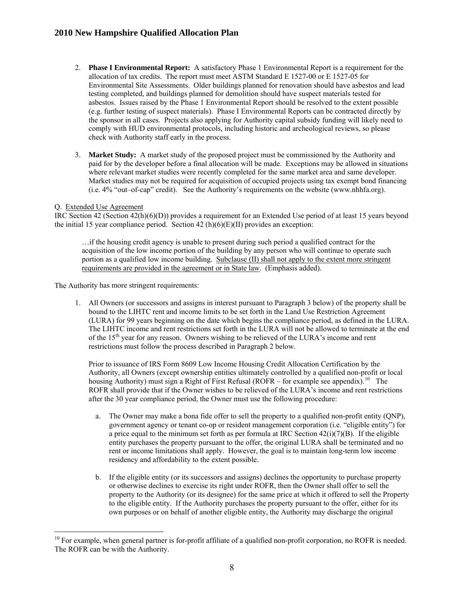- 2. **Phase I Environmental Report:** A satisfactory Phase 1 Environmental Report is a requirement for the Environmental Site Assessments. Older buildings planned for renovation should have asbestos and lead testing completed, and buildings planned for demolition should have suspect materials tested for (e.g. further testing of suspect materials). Phase I Environmental Reports can be contracted directly by the sponsor in all cases. Projects also applying for Authority capital subsidy funding will likely need to allocation of tax credits. The report must meet ASTM Standard E 1527-00 or E 1527-05 for asbestos. Issues raised by the Phase 1 Environmental Report should be resolved to the extent possible comply with HUD environmental protocols, including historic and archeological reviews, so please check with Authority staff early in the process.
- 3. Market Study: A market study of the proposed project must be commissioned by the Authority and paid for by the developer before a final allocation will be made. Exceptions may be allowed in situations where relevant market studies were recently completed for the same market area and same developer. Market studies may not be required for acquisition of occupied projects using tax exempt bond financing (i.e. 4% "out–of-cap" credit). See the Authority's requirements on the website (www.nhhfa.org).

### Q. Extend ed Use Agreement

 $\overline{a}$ 

 $\overline{a}$ 

IRC Section 42 (Section  $42(h)(6)(D)$ ) provides a requirement for an Extended Use period of at least 15 years beyond the initial 15 year compliance period. Section  $42(h)(6)(E)(II)$  provides an exception:

…if the housing credit agency is unable to present during such period a qualified contract for the acquisition of the low income portion of the building by any person who will continue to operate such portion as a qualified low income building. Subclause (II) shall not apply to the extent more stringent requirements are provided in the agreement or in State law. (Emphasis added).

The Authority has more stringent requirements:

1. All Owners (or successors and assigns in interest pursuant to Paragraph 3 below) of the property shall be bound to the LIHTC rent and income limits to be set forth in the Land Use Restriction Agreement (LURA) for 99 years beginning on the date which begins the compliance period, as defined in the LURA. The L IHTC income and rent restrictions set forth in the LURA will not be allowed to terminate at the end of the  $15<sup>th</sup>$  year for any reason. Owners wishing to be relieved of the LURA's income and rent restrictions must follow the process described in Paragraph 2 below.

Prior to issuance of IRS Form 8609 Low Income Housing Credit Allocation Certification by the Authority, all Owners (except ownership entities ultimately controlled by a qualified non-profit or local housing Authority) must sign a Right of First Refusal (ROFR – for example see appendix).<sup>10</sup> The ROFR shall provide that if the Owner wishes to be relieved of the LURA's income and rent restrictions after th e 30 year compliance period, the Owner must use the following procedure:

- a. The Owner may make a bona fide offer to sell the property to a qualified non-profit entity (QNP), government agency or tenant co-op or resident management corporation (i.e. "eligible entity") for a price equal to the minimum set forth as per formula at IRC Section  $42(i)(7)(B)$ . If the eligible entity purchases the property pursuant to the offer, the original LURA shall be terminated and no rent or income limitations shall apply. However, the goal is to maintain long-term low income residency and affordability to the extent possible.
- . If the eligible entity (or its successors and assigns) declines the opportunity to purchase property b property to the Authority (or its designee) for the same price at which it offered to sell the Property to the eligible entity. If the Authority purchases the property pursuant to the offer, either for its or otherwise declines to exercise its right under ROFR, then the Owner shall offer to sell the own purposes or on behalf of another eligible entity, the Authority may discharge the original

 $10$  For example, when general partner is for-profit affiliate of a qualified non-profit corporation, no ROFR is needed. The ROFR can be with the Authority.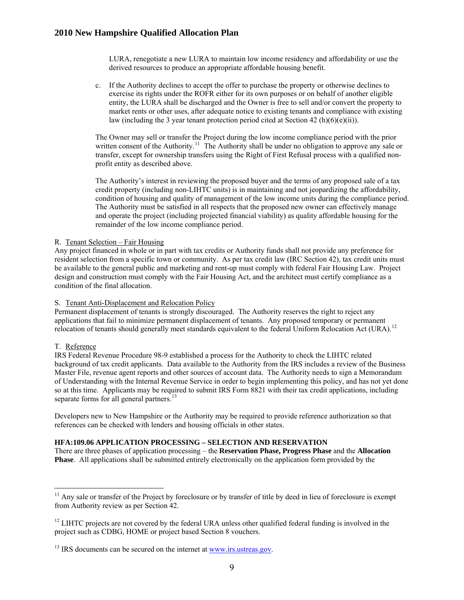derived resources to produce an appropriate affordable housing benefit. LURA, renegotiate a new LURA to maintain low income residency and affordability or use the

c. If the Authority declines to accept the offer to purchase the property or otherwise declines to exercise its rights under the ROFR either for its own purposes or on behalf of another eligible entity, the LURA shall be discharged and the Owner is free to sell and/or convert the property to market rents or other uses, after adequate notice to existing tenants and compliance with existing law (including the 3 year tenant protection period cited at Section 42 (h)(6)(e)(ii)).

The Owner may sell or transfer the Project during the low income compliance period with the prior written consent of the Authority.<sup>11</sup> The Authority shall be under no obligation to approve any sale or - transfer, except for ownership transfers using the Right of First Refusal process with a qualified non profit entity as described above.

The Authority's interest in reviewing the proposed buyer and the terms of any proposed sale of a tax credit property (including non-LIHTC units) is in maintaining and not jeopardizing the affordability, condition of housing and quality of management of the low income units during the compliance period. The Authority must be satisfied in all respects that the proposed new owner can effectively manage and operate the project (including projected financial viability) as quality affordable housing for the remainder of the low income compliance period.

#### R. Tenant Selection - Fair Housing

Any project financed in whole or in part with tax credits or Authority funds shall not provide any preference for resident selection from a specific town or community. As per tax credit law (IRC Section 42), tax credit units must be available to the general public and marketing and rent-up must comply with federal Fair Housing Law. Project design and construction must comply with the Fair Housing Act, and the architect must certify compliance as a condition of the final allocation.

#### S. Tenant Anti-Displacement and Relocation Policy

Permanent displacement of tenants is strongly discouraged. The Authority reserves the right to reject any relocation of tenants should generally meet standards equivalent to the federal Uniform Relocation Act (URA).<sup>12</sup> applications that fail to minimize permanent displacement of tenants. Any proposed temporary or permanent

#### T. Reference

 $\overline{a}$ 

IRS Federal Revenue Procedure 98-9 established a process for the Authority to check the LIHTC related background of tax credit applicants. Data available to the Authority from the IRS includes a review of the Business Master File, revenue agent reports and other sources of account data. The Authority needs to sign a Memorandum of Understanding with the Internal Revenue Service in order to begin implementing this policy, and has not yet done so at this time. Applicants may be required to submit IRS Form 8821 with their tax credit applications, inc luding separate forms for all general partners.<sup>[13](#page-13-0)</sup>

Developers new to New Hampshire or the Authority may be required to provide reference authorization so that references can be checked with lenders and housing officials in other states.

#### **HFA:109.06 APPLICATION PROCESSING – SELECTION AND RESERVATION**

**n**  There are three phases of application processing – the **Reservation Phase, Progress Phase** and the **Allocatio Phase**. All applications shall be submitted entirely electronically on the application form provided by the

 $11$  Any sale or transfer of the Project by foreclosure or by transfer of title by deed in lieu of foreclosure is exempt from Authority review as per Section 42.

 $12$  LIHTC projects are not covered by the federal URA unless other qualified federal funding is involved in the project such as CDBG, HOME or project based Section 8 vouchers.

 $13$  IRS documents can be secured on the internet at [www.irs.ustreas.gov](http://www.nhhfa.org/).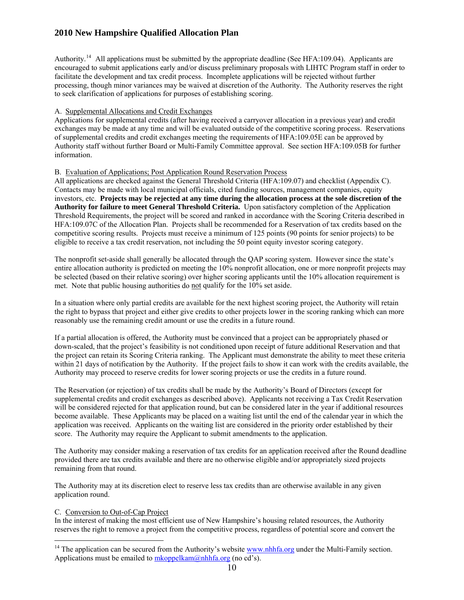encouraged to submit applications early and/or discuss preliminary proposals with LIHTC Program staff in order to processing, though minor variances may be waived at discretion of the Authority. The Authority reserves the right Authority.<sup>14</sup> All applications must be submitted by the appropriate deadline (See HFA:109.04). Applicants are facilitate the development and tax credit process. Incomplete applications will be rejected without further to seek clarification of applications for purposes of establishing scoring.

#### A. Supplemental Allocations and Credit Exchanges

Applications for supplemental credits (after having received a carryover allocation in a previous year) and credit exchanges may be made at any time and will be evaluated outside of the competitive scoring process. Reservations of supplemental credits and credit exchanges meeting the requirements of HFA:109.05E can be approved by Authority staff without further Board or Multi-Family Committee approval. See section HFA:109.05B for further information.

### B. Evaluation of Applications; Post Application Round Reservation Process

investors, etc. **Projects may be rejected at any time during the allocation process at the sole discretion of the uthority for failure to meet General Threshold Criteria.** Upon satisfactory completion of the Application **A** Threshold Requirements, the project will be scored and ranked in accordance with the Scoring Criteria described in All applications are checked against the General Threshold Criteria (HFA:109.07) and checklist (Appendix C). Contacts may be made with local municipal officials, cited funding sources, management companies, equity HFA:109.07C of the Allocation Plan. Projects shall be recommended for a Reservation of tax credits based on the competitive scoring results. Projects must receive a minimum of 125 points (90 points for senior projects) to be eligible to receive a tax credit reservation, not including the 50 point equity investor scoring category.

The nonprofit set-aside shall generally be allocated through the QAP scoring system. However since the state's entire allocation authority is predicted on meeting the 10% nonprofit allocation, one or more nonprofit projects may be selected (based on their relative scoring) over higher scoring applicants until the 10% allocation requirement is met. Note that public housing authorities do not qualify for the 10% set aside.

In a situation where only partial credits are available for the next highest scoring project, the Authority will retain the right to bypass that project and either give credits to other projects lower in the scoring ranking which can more reasonably use the remaining credit amount or use the credits in a future round.

down-scaled, that the project's feasibility is not conditioned upon receipt of future additional Reservation and that the project can retain its Scoring Criteria ranking. The Applicant must demonstrate the ability to meet these criteria within 21 days of notification by the Authority. If the project fails to show it can work with the credits available, the Authority may proceed to reserve credits for lower scoring projects or use the credits in a future round. If a partial allocation is offered, the Authority must be convinced that a project can be appropriately phased or

The Reservation (or rejection) of tax credits shall be made by the Authority's Board of Directors (except for supplemental credits and credit exchanges as described above). Applicants not receiving a Tax Credit Reservation will be considered rejected for that application round, but can be considered later in the year if additional resources become available. These Applicants may be placed on a waiting list until the end of the calendar year in which the application was received. Applicants on the waiting list are considered in the priority order established by their score. The Authority may require the Applicant to submit amendments to the application.

The Authority may consider making a reservation of tax credits for an application received after the Round deadline remaining from that round. provided there are tax credits available and there are no otherwise eligible and/or appropriately sized projects

The Authority may at its discretion elect to reserve less tax credits than are otherwise available in any given application round.

#### C. Conversion to Out-of-Cap Project

÷,

In the interest of making the most efficient use of New Hampshire's housing related resources, the Authority reserves the right to remove a project from the competitive process, regardless of potential score and convert the

<span id="page-13-0"></span><sup>&</sup>lt;sup>14</sup> The application can be secured from the Authority's website  $\frac{www.nhhfa.org}{www.nhhfa.org}$  under the Multi-Family section. Applications must be emailed to  $\frac{mkoppelkam(\hat{a})nhhfa.org}{mknon(\hat{a})}$  (no cd's).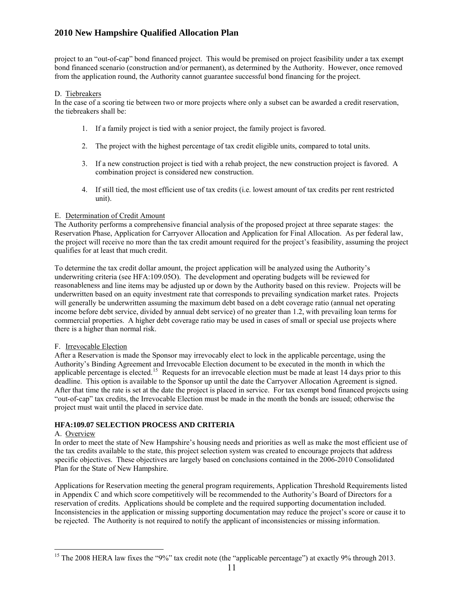project to an "out-of-cap" bond financed project. This would be premised on project feasibility under a tax exempt bond financed scenario (construction and/or permanent), as determined by the Authority. However, once removed from the application round, the Authority cannot guarantee successful bond financing for the project.

#### D. Tiebreakers

In the case of a scoring tie between two or more projects where only a subset can be awarded a credit reservation, the tiebreakers shall be:

- 1. If a family project is tied with a senior project, the family project is favored.
- 2. The project with the highest percentage of tax credit eligible units, compared to total units.
- 3. If a new construction project is tied with a rehab project, the new construction project is favored. A combination project is considered new construction.
- 4. If still tied, the most efficient use of tax credits (i.e. lowest amount of tax credits per rent restricted unit).

#### E. Determination of Credit Amount

The Authority performs a comprehensive financial analysis of the proposed project at three separate stages: the Reservation Phase, Application for Carryover Allocation and Application for Final Allocation. As per federal law, the project will receive no more than the tax credit amount required for the project's feasibility, assuming the project qualifies for at least that much credit.

To determine the tax credit dollar amount, the project application will be analyzed using the Authority's underwriting criteria (see HFA:109.05O). The development and operating budgets will be reviewed for reasonableness and line items may be adjusted up or down by the Authority based on this review. Projects will be commercial properties. A higher debt coverage ratio may be used in cases of small or special use projects where there is a higher than normal risk. underwritten based on an equity investment rate that corresponds to prevailing syndication market rates. Projects will generally be underwritten assuming the maximum debt based on a debt coverage ratio (annual net operating income before debt service, divided by annual debt service) of no greater than 1.2, with prevailing loan terms for

#### F. Irrevocable Election

After a Reservation is made the Sponsor may irrevocably elect to lock in the applicable percentage, using the Authority's Binding Agreement and Irrevocable Election document to be executed in the month in which the applicable percentage is elected.<sup>15</sup> Requests for an irrevocable election must be made at least 14 days prior to this deadline. This option is available to the Sponsor up until the date the Carryover Allocation Agreement is signed. After that time the rate is set at the date the project is placed in service. For tax exempt bond financed projects using "out-of-cap" tax credits, the Irrevocable Election must be made in the month the bonds are issued; otherwise the project must wait until the placed in service date.

#### **HFA :109.07 SELECTION PROCESS AND CRITERIA**

#### A. Overview

 $\overline{a}$ 

In order to meet the state of New Hampshire's housing needs and priorities as well as make the most efficient use of the tax credits available to the state, this project selection system was created to encourage projects that address specific objectives. These objectives are largely based on conclusions contained in the 2006-2010 Consolidated Plan for the State of New Hampshire.

Applications for Reservation meeting the general program requirements, Application Threshold Requirements listed in A ppendix C and which score competitively will be recommended to the Authority's Board of Directors for a reservation of credits. Applications should be complete and the required supporting documentation included. Inconsistencies in the application or missing supporting documentation may reduce the project's score or cause it to be rejected. The Authority is not required to notify the applicant of inconsistencies or missing information.

<sup>&</sup>lt;sup>15</sup> The 2008 HERA law fixes the "9%" tax credit note (the "applicable percentage") at exactly 9% through 2013.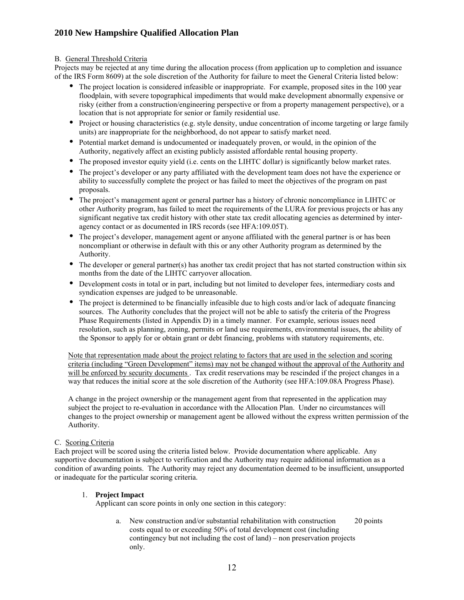### B. General Threshold Criteria

Projects may be rejected at any time during the allocation process (from application up to completion and issuance of the IRS Form 8609) at the sole discretion of the Authority for failure to meet the General Criteria listed below:

- The project location is considered infeasible or inappropriate. For example, proposed sites in the 100 year floodplain, with severe topographical impediments that would make development abnormally expensive or risky (either from a construction/engineering perspective or from a property management perspective), or a location that is not appropriate for senior or family residential use.
- Project or housing characteristics (e.g. style density, undue concentration of income targeting or large family units) are inappropriate for the neighborhood, do not appear to satisfy market need.
- Potential market demand is undocumented or inadequately proven, or would, in the opinion of the Authority, negatively affect an existing publicly assisted affordable rental housing property.
- The proposed investor equity yield (i.e. cents on the LIHTC dollar) is significantly below market rates.
- The project's developer or any party affiliated with the development team does not have the experience or ability to successfully complete the project or has failed to meet the objectives of the program on past proposals.
- agency contact or as documented in IRS records (see HFA:109.05T). • The project's management agent or general partner has a history of chronic noncompliance in LIHTC or other Authority program, has failed to meet the requirements of the LURA for previous projects or has any significant negative tax credit history with other state tax credit allocating agencies as determined by inter-
- The project's developer, management agent or anyone affiliated with the general partner is or has been noncompliant or otherwise in default with this or any other Authority program as determined by the Authority.
- The developer or general partner(s) has another tax credit project that has not started construction within six months from the date of the LIHTC carryover allocation.
- Development costs in total or in part, including but not limited to developer fees, intermediary costs and syndication expenses are judged to be unreasonable.
- sources. The Authority concludes that the project will not be able to satisfy the criteria of the Progress Phase Requirements (listed in Appendix D) in a timely manner. For example, serious issues need resolution, such as planning, zoning, permits or land use requirements, environmental issues, the ability of the Sponsor to apply for or obtain grant or debt financing, problems with statutory requirements, etc. • The project is determined to be financially infeasible due to high costs and/or lack of adequate financing

Note that representation made about the project relating to factors that are used in the selection and scoring criteria (including "Green Development" items) may not be changed without the approval of the Authority and will be enforced by security documents. Tax credit reservations may be rescinded if the project changes in a way that reduces the initial score at the sole discretion of the Authority (see HFA:109.08A Progress Phase).

A change in the project ownership or the management agent from that represented in the application may subject the project to re-evaluation in accordance with the Allocation Plan. Under no circumstances will changes to the project ownership or management agent be allowed without the express written permission of the Auth ority.

#### C. Scoring Criteria

Each project will be scored using the criteria listed below. Provide documentation where applicable. Any supportive documentation is subject to verification and the Authority may require additional information as a condition of awarding points. The Authority may reject any documentation deemed to be insufficient, unsupported or inadequate for the particular scoring criteria.

#### 1. **Project Impact**

Applicant can score points in only one section in this category:

a. New construction and/or substantial rehabilitation with construction 20 points contingency but not including the cost of land) – non preservation projects costs equal to or exceeding 50% of total development cost (including only.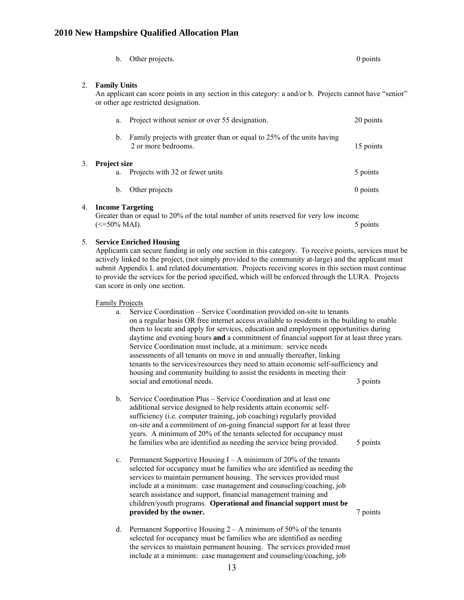|    | b.                                                                                                                                                                                                                                                                                                                                                                                                                                                                                                    | Other projects.                                                                                                                                                                                                                                                                                                                                                                                                                                                                                                                                                                                                                                                                                          | $0$ points |
|----|-------------------------------------------------------------------------------------------------------------------------------------------------------------------------------------------------------------------------------------------------------------------------------------------------------------------------------------------------------------------------------------------------------------------------------------------------------------------------------------------------------|----------------------------------------------------------------------------------------------------------------------------------------------------------------------------------------------------------------------------------------------------------------------------------------------------------------------------------------------------------------------------------------------------------------------------------------------------------------------------------------------------------------------------------------------------------------------------------------------------------------------------------------------------------------------------------------------------------|------------|
| 2. | <b>Family Units</b><br>An applicant can score points in any section in this category: a and/or b. Projects cannot have "senior"<br>or other age restricted designation.                                                                                                                                                                                                                                                                                                                               |                                                                                                                                                                                                                                                                                                                                                                                                                                                                                                                                                                                                                                                                                                          |            |
|    | a.                                                                                                                                                                                                                                                                                                                                                                                                                                                                                                    | Project without senior or over 55 designation.                                                                                                                                                                                                                                                                                                                                                                                                                                                                                                                                                                                                                                                           | 20 points  |
|    | b.                                                                                                                                                                                                                                                                                                                                                                                                                                                                                                    | Family projects with greater than or equal to 25% of the units having<br>2 or more bedrooms.                                                                                                                                                                                                                                                                                                                                                                                                                                                                                                                                                                                                             | 15 points  |
| 3. | Project size<br>a.                                                                                                                                                                                                                                                                                                                                                                                                                                                                                    | Projects with 32 or fewer units                                                                                                                                                                                                                                                                                                                                                                                                                                                                                                                                                                                                                                                                          | 5 points   |
|    | $\mathbf{b}$ .                                                                                                                                                                                                                                                                                                                                                                                                                                                                                        | Other projects                                                                                                                                                                                                                                                                                                                                                                                                                                                                                                                                                                                                                                                                                           | 0 points   |
|    | 4. Income Targeting<br>$\left(\leq 50\% \text{ MAI}\right)$ .                                                                                                                                                                                                                                                                                                                                                                                                                                         | Greater than or equal to 20% of the total number of units reserved for very low income                                                                                                                                                                                                                                                                                                                                                                                                                                                                                                                                                                                                                   | 5 points   |
| 5. | <b>Service Enriched Housing</b><br>Applicants can secure funding in only one section in this category. To receive points, services must be<br>actively linked to the project, (not simply provided to the community at-large) and the applicant must<br>submit Appendix L and related documentation. Projects receiving scores in this section must continue<br>to provide the services for the period specified, which will be enforced through the LURA. Projects<br>can score in only one section. |                                                                                                                                                                                                                                                                                                                                                                                                                                                                                                                                                                                                                                                                                                          |            |
|    | <b>Family Projects</b><br>a.                                                                                                                                                                                                                                                                                                                                                                                                                                                                          | Service Coordination - Service Coordination provided on-site to tenants<br>on a regular basis OR free internet access available to residents in the building to enable<br>them to locate and apply for services, education and employment opportunities during<br>daytime and evening hours and a commitment of financial support for at least three years.<br>Service Coordination must include, at a minimum: service needs<br>assessments of all tenants on move in and annually thereafter, linking<br>tenants to the services/resources they need to attain economic self-sufficiency and<br>housing and community building to assist the residents in meeting their<br>social and emotional needs. | 3 points   |
|    | b.                                                                                                                                                                                                                                                                                                                                                                                                                                                                                                    | Service Coordination Plus – Service Coordination and at least one<br>additional service designed to help residents attain economic self-<br>sufficiency (i.e. computer training, job coaching) regularly provided<br>on-site and a commitment of on-going financial support for at least three<br>years. A minimum of 20% of the tenants selected for occupancy must<br>be families who are identified as needing the service being provided.                                                                                                                                                                                                                                                            | 5 points   |
|    | $c_{\cdot}$                                                                                                                                                                                                                                                                                                                                                                                                                                                                                           | Permanent Supportive Housing $I - A$ minimum of 20% of the tenants<br>selected for occupancy must be families who are identified as needing the<br>services to maintain permanent housing. The services provided must<br>include at a minimum: case management and counseling/coaching, job<br>search assistance and support, financial management training and<br>children/youth programs. Operational and financial support must be<br>provided by the owner.                                                                                                                                                                                                                                          | 7 points   |

selected for occupancy must be families who are identified as needing the services to maintain permanent housing. The services provided must d. Permanent Supportive Housing  $2 - A$  minimum of 50% of the tenants include at a minimum: case management and counseling/coaching, job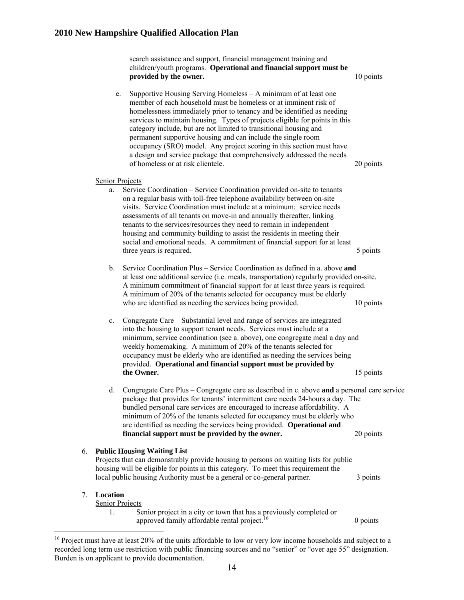children/youth programs. Operational and financial support must be 10 points e. Supportive Housing Serving Homeless – A minimum of at least one permanent supportive housing and can include the single room occupancy (SRO) model. Any project scoring in this section must have 20 points Senior Projects search assistance and support, financial management training and provided by the owner. member of each household must be homeless or at imminent risk of homelessness immediately prior to tenancy and be identified as needing services to maintain housing. Types of projects eligible for points in this category include, but are not limited to transitional housing and a design and service package that comprehensively addressed the needs of homeless or at risk clientele. a. assessments of all tenants on move-in and annually thereafter, linking 5 points b. Service Coordination Plus - Service Coordination as defined in a. above and at least one additional service (i.e. meals, transportation) regularly provided on-site. A minimum commitment of financial support for at least three years is required. 10 points c. Congregate Care – Substantial level and range of services are integrated into the housing to support tenant needs. Services must include at a minimum, service coordination (see a. above), one congregate meal a day and wee kly homemaking. A minimum of 20% of the tenants selected for occu pancy must be elderly who are identified as needing the services being provided. Operational and financial support must be provided by the Owner. d. Congregate Care Plus – Congregate care as described in c. above **and** a personal care service package that provides for tenants' intermittent care needs 24-hours a day. The bundled personal care services are encouraged to increase affordability. A minimum of 20% of the tenants selected for occupancy must be elderly who are i dentified as needing the services being provided. **Operational and financial support must be provided by the owner.** 20 points 6. **Public Hous ing Waiting List** Projects that can demonstrably provide housing to persons on waiting lists for public housing will be eligible for points in this category. To meet this requirement the local public housing Authority must be a general or co-general partner. 3 points 7. **Location** Service Coordination – Service Coordination provided on-site to tenants on a regular basis with toll-free telephone availability between on-site visits. Service Coordination must include at a minimum: service needs tenants to the services/resources they need to remain in independent housing and community building to assist the residents in meeting their social and emotional needs. A commitment of financial support for at least three years is required. A minimum of 20% of the tenants selected for occupancy must be elderly who are identified as needing the services being provided. 15 points Senior Projects 1. Senior project in a city or town that has a previously completed or approved family affordable rental project. $16$  0 points 0 points

recorded long term use restriction with public financing sources and no "senior" or "over age 55" designation. Burden is on applicant to provide documentation. <sup>16</sup> Project must have at least 20% of the units affordable to low or very low income households and subject to a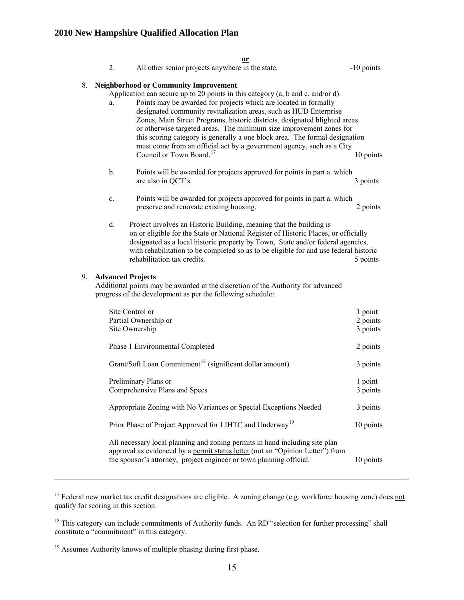|    | 2.                                                                                                                                                                                                                                                                                                                                                                                                                                                                                                                                                                                  | or<br>All other senior projects anywhere in the state.                                                                                                                                                                                                                                                                                                                | -10 points                      |
|----|-------------------------------------------------------------------------------------------------------------------------------------------------------------------------------------------------------------------------------------------------------------------------------------------------------------------------------------------------------------------------------------------------------------------------------------------------------------------------------------------------------------------------------------------------------------------------------------|-----------------------------------------------------------------------------------------------------------------------------------------------------------------------------------------------------------------------------------------------------------------------------------------------------------------------------------------------------------------------|---------------------------------|
| 8. |                                                                                                                                                                                                                                                                                                                                                                                                                                                                                                                                                                                     | <b>Neighborhood or Community Improvement</b>                                                                                                                                                                                                                                                                                                                          |                                 |
|    | Application can secure up to 20 points in this category (a, b and c, and/or d).<br>Points may be awarded for projects which are located in formally<br>a.<br>designated community revitalization areas, such as HUD Enterprise<br>Zones, Main Street Programs, historic districts, designated blighted areas<br>or otherwise targeted areas. The minimum size improvement zones for<br>this scoring category is generally a one block area. The formal designation<br>must come from an official act by a government agency, such as a City<br>Council or Town Board. <sup>17</sup> |                                                                                                                                                                                                                                                                                                                                                                       | 10 points                       |
|    | b.                                                                                                                                                                                                                                                                                                                                                                                                                                                                                                                                                                                  | Points will be awarded for projects approved for points in part a. which<br>are also in QCT's.                                                                                                                                                                                                                                                                        | 3 points                        |
|    | c.                                                                                                                                                                                                                                                                                                                                                                                                                                                                                                                                                                                  | Points will be awarded for projects approved for points in part a. which<br>preserve and renovate existing housing.                                                                                                                                                                                                                                                   | 2 points                        |
|    | d.                                                                                                                                                                                                                                                                                                                                                                                                                                                                                                                                                                                  | Project involves an Historic Building, meaning that the building is<br>on or eligible for the State or National Register of Historic Places, or officially<br>designated as a local historic property by Town, State and/or federal agencies,<br>with rehabilitation to be completed so as to be eligible for and use federal historic<br>rehabilitation tax credits. | 5 points                        |
| 9. |                                                                                                                                                                                                                                                                                                                                                                                                                                                                                                                                                                                     | <b>Advanced Projects</b><br>Additional points may be awarded at the discretion of the Authority for advanced<br>progress of the development as per the following schedule:                                                                                                                                                                                            |                                 |
|    |                                                                                                                                                                                                                                                                                                                                                                                                                                                                                                                                                                                     | Site Control or<br>Partial Ownership or<br>Site Ownership                                                                                                                                                                                                                                                                                                             | 1 point<br>2 points<br>3 points |
|    |                                                                                                                                                                                                                                                                                                                                                                                                                                                                                                                                                                                     | Phase 1 Environmental Completed                                                                                                                                                                                                                                                                                                                                       | 2 points                        |
|    |                                                                                                                                                                                                                                                                                                                                                                                                                                                                                                                                                                                     | Grant/Soft Loan Commitment <sup>18</sup> (significant dollar amount)                                                                                                                                                                                                                                                                                                  | 3 points                        |
|    |                                                                                                                                                                                                                                                                                                                                                                                                                                                                                                                                                                                     | Preliminary Plans or<br>Comprehensive Plans and Specs                                                                                                                                                                                                                                                                                                                 | 1 point<br>3 points             |
|    |                                                                                                                                                                                                                                                                                                                                                                                                                                                                                                                                                                                     | Appropriate Zoning with No Variances or Special Exceptions Needed                                                                                                                                                                                                                                                                                                     | 3 points                        |
|    |                                                                                                                                                                                                                                                                                                                                                                                                                                                                                                                                                                                     | Prior Phase of Project Approved for LIHTC and Underway <sup>19</sup>                                                                                                                                                                                                                                                                                                  | 10 points                       |
|    |                                                                                                                                                                                                                                                                                                                                                                                                                                                                                                                                                                                     | All necessary local planning and zoning permits in hand including site plan<br>approval as evidenced by a permit status letter (not an "Opinion Letter") from<br>the sponsor's attorney, project engineer or town planning official.                                                                                                                                  | 10 points                       |

 $17$  Federal new market tax credit designations are eligible. A zoning change (e.g. workforce housing zone) does not qualify for scoring in this section.

<sup>&</sup>lt;sup>18</sup> This category can include commitments of Authority funds. An RD "selection for further processing" shall constitute a "commitment" in this category.

<sup>&</sup>lt;sup>19</sup> Assumes Authority knows of multiple phasing during first phase.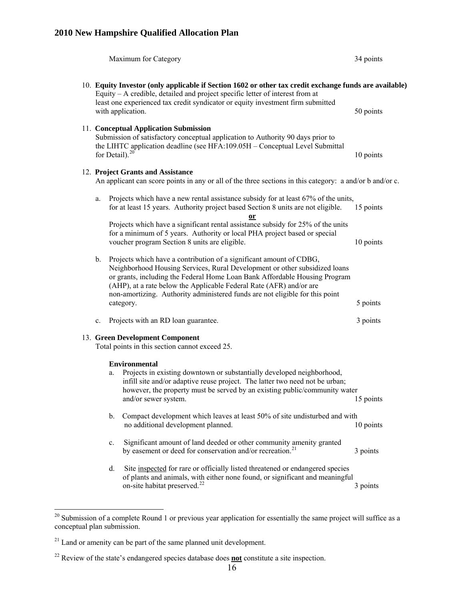|                                                                                   |                                                                                                                                               |                            | Maximum for Category                                                                                                                                                                                                                                                                                                                                                                                | 34 points |
|-----------------------------------------------------------------------------------|-----------------------------------------------------------------------------------------------------------------------------------------------|----------------------------|-----------------------------------------------------------------------------------------------------------------------------------------------------------------------------------------------------------------------------------------------------------------------------------------------------------------------------------------------------------------------------------------------------|-----------|
|                                                                                   |                                                                                                                                               |                            | 10. Equity Investor (only applicable if Section 1602 or other tax credit exchange funds are available)<br>Equity – A credible, detailed and project specific letter of interest from at                                                                                                                                                                                                             |           |
|                                                                                   | least one experienced tax credit syndicator or equity investment firm submitted<br>with application.                                          |                            | 50 points                                                                                                                                                                                                                                                                                                                                                                                           |           |
|                                                                                   |                                                                                                                                               | for Detail). <sup>20</sup> | 11. Conceptual Application Submission<br>Submission of satisfactory conceptual application to Authority 90 days prior to<br>the LIHTC application deadline (see HFA:109.05H - Conceptual Level Submittal                                                                                                                                                                                            | 10 points |
|                                                                                   | 12. Project Grants and Assistance<br>An applicant can score points in any or all of the three sections in this category: a and/or b and/or c. |                            |                                                                                                                                                                                                                                                                                                                                                                                                     |           |
|                                                                                   | a.                                                                                                                                            |                            | Projects which have a new rental assistance subsidy for at least 67% of the units,<br>for at least 15 years. Authority project based Section 8 units are not eligible.<br><u>or</u>                                                                                                                                                                                                                 | 15 points |
|                                                                                   |                                                                                                                                               |                            | Projects which have a significant rental assistance subsidy for 25% of the units<br>for a minimum of 5 years. Authority or local PHA project based or special<br>voucher program Section 8 units are eligible.                                                                                                                                                                                      | 10 points |
|                                                                                   | $\mathbf{b}$ .                                                                                                                                |                            | Projects which have a contribution of a significant amount of CDBG,<br>Neighborhood Housing Services, Rural Development or other subsidized loans<br>or grants, including the Federal Home Loan Bank Affordable Housing Program<br>(AHP), at a rate below the Applicable Federal Rate (AFR) and/or are<br>non-amortizing. Authority administered funds are not eligible for this point<br>category. | 5 points  |
|                                                                                   | $\mathbf{c}$ .                                                                                                                                |                            | Projects with an RD loan guarantee.                                                                                                                                                                                                                                                                                                                                                                 | 3 points  |
| 13. Green Development Component<br>Total points in this section cannot exceed 25. |                                                                                                                                               |                            |                                                                                                                                                                                                                                                                                                                                                                                                     |           |
|                                                                                   |                                                                                                                                               |                            | <b>Environmental</b>                                                                                                                                                                                                                                                                                                                                                                                |           |
|                                                                                   |                                                                                                                                               | a.                         | Projects in existing downtown or substantially developed neighborhood,<br>infill site and/or adaptive reuse project. The latter two need not be urban;<br>however, the property must be served by an existing public/community water<br>and/or sewer system.                                                                                                                                        | 15 points |
|                                                                                   |                                                                                                                                               | b.                         | Compact development which leaves at least 50% of site undisturbed and with<br>no additional development planned.                                                                                                                                                                                                                                                                                    | 10 points |
|                                                                                   |                                                                                                                                               | c.                         | Significant amount of land deeded or other community amenity granted<br>by easement or deed for conservation and/or recreation. <sup>21</sup>                                                                                                                                                                                                                                                       | 3 points  |
|                                                                                   |                                                                                                                                               | d.                         | Site inspected for rare or officially listed threatened or endangered species<br>of plants and animals, with either none found, or significant and meaningful<br>on-site habitat preserved. <sup>22</sup>                                                                                                                                                                                           | 3 points  |

 $20$  Submission of a complete Round 1 or previous year application for essentially the same project will suffice as a conceptual plan submission.

 $21$  Land or amenity can be part of the same planned unit development.

 $22$  Review of the state's endangered species database does **not** constitute a site inspection.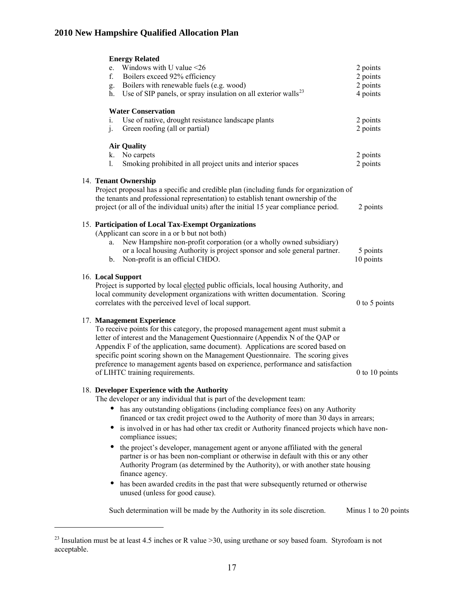| <b>Energy Related</b><br>Windows with U value <26<br>e.<br>Boilers exceed 92% efficiency<br>f.<br>g. Boilers with renewable fuels (e.g. wood)<br>Use of SIP panels, or spray insulation on all exterior walls <sup>23</sup><br>h.                                                                                                                                                                                                                                                                                                                                                                                                                                                                                                                                                                                                                         | 2 points<br>2 points<br>2 points<br>4 points |
|-----------------------------------------------------------------------------------------------------------------------------------------------------------------------------------------------------------------------------------------------------------------------------------------------------------------------------------------------------------------------------------------------------------------------------------------------------------------------------------------------------------------------------------------------------------------------------------------------------------------------------------------------------------------------------------------------------------------------------------------------------------------------------------------------------------------------------------------------------------|----------------------------------------------|
| <b>Water Conservation</b><br>Use of native, drought resistance landscape plants<br>i.<br>j.<br>Green roofing (all or partial)                                                                                                                                                                                                                                                                                                                                                                                                                                                                                                                                                                                                                                                                                                                             | 2 points<br>2 points                         |
| <b>Air Quality</b><br>No carpets<br>k.<br>Smoking prohibited in all project units and interior spaces<br>1.                                                                                                                                                                                                                                                                                                                                                                                                                                                                                                                                                                                                                                                                                                                                               | 2 points<br>2 points                         |
| 14. Tenant Ownership<br>Project proposal has a specific and credible plan (including funds for organization of<br>the tenants and professional representation) to establish tenant ownership of the<br>project (or all of the individual units) after the initial 15 year compliance period.                                                                                                                                                                                                                                                                                                                                                                                                                                                                                                                                                              | 2 points                                     |
| 15. Participation of Local Tax-Exempt Organizations<br>(Applicant can score in a or b but not both)<br>New Hampshire non-profit corporation (or a wholly owned subsidiary)<br>a.<br>or a local housing Authority is project sponsor and sole general partner.<br>Non-profit is an official CHDO.<br>b.                                                                                                                                                                                                                                                                                                                                                                                                                                                                                                                                                    | 5 points<br>10 points                        |
| 16. Local Support<br>Project is supported by local elected public officials, local housing Authority, and<br>local community development organizations with written documentation. Scoring<br>correlates with the perceived level of local support.                                                                                                                                                                                                                                                                                                                                                                                                                                                                                                                                                                                                       | 0 to 5 points                                |
| 17. Management Experience<br>To receive points for this category, the proposed management agent must submit a<br>letter of interest and the Management Questionnaire (Appendix N of the QAP or<br>Appendix F of the application, same document). Applications are scored based on<br>specific point scoring shown on the Management Questionnaire. The scoring gives<br>preference to management agents based on experience, performance and satisfaction<br>of LIHTC training requirements.                                                                                                                                                                                                                                                                                                                                                              | $0$ to 10 points                             |
| 18. Developer Experience with the Authority<br>The developer or any individual that is part of the development team:<br>has any outstanding obligations (including compliance fees) on any Authority<br>financed or tax credit project owed to the Authority of more than 30 days in arrears;<br>is involved in or has had other tax credit or Authority financed projects which have non-<br>$\bullet$<br>compliance issues;<br>the project's developer, management agent or anyone affiliated with the general<br>$\bullet$<br>partner is or has been non-compliant or otherwise in default with this or any other<br>Authority Program (as determined by the Authority), or with another state housing<br>finance agency.<br>has been awarded credits in the past that were subsequently returned or otherwise<br>٠<br>unused (unless for good cause). |                                              |
| Such determination will be made by the Authority in its sole discretion.                                                                                                                                                                                                                                                                                                                                                                                                                                                                                                                                                                                                                                                                                                                                                                                  | Minus 1 to 20 points                         |

<sup>&</sup>lt;sup>23</sup> Insulation must be at least 4.5 inches or R value  $>$ 30, using urethane or soy based foam. Styrofoam is not acceptable.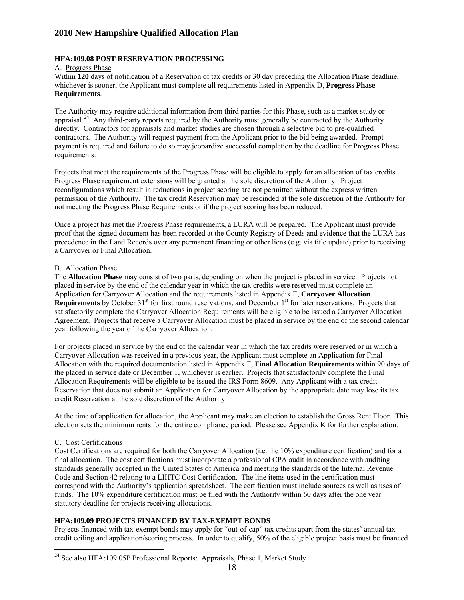#### **HFA:109.08 POST RESERVATION PROCESSING**

#### A. Progress Phase

Within **120** days of notification of a Reservation of tax credits or 30 day preceding the Allocation Phase deadline, whichever is sooner, the Applicant must complete all requirements listed in Appendix D, **Progress Phase equirements**. **R**

appraisal.<sup>24</sup> Any third-party reports required by the Authority must generally be contracted by the Authority The Authority may require additional information from third parties for this Phase, such as a market study or directly. Contractors for appraisals and market studies are chosen through a selective bid to pre-qualified contractors. The Authority will request payment from the Applicant prior to the bid being awarded. Prompt payment is required and failure to do so may jeopardize successful completion by the deadline for Progress Phase requirements.

Projects that meet the requirements of the Progress Phase will be eligible to apply for an allocation of tax credits. Progress Phase requirement extensions will be granted at the sole discretion of the Authority. Project reconfigurations which result in reductions in project scoring are not permitted without the express written permission of the Authority. The tax credit Reservation may be rescinded at the sole discretion of the Authority for not meeting the Progress Phase Requirements or if the project scoring has been reduced.

proof that the signed document has been recorded at the County Registry of Deeds and evidence that the LURA has precedence in the Land Records over any permanent financing or other liens (e.g. via title update) prior to receiving Once a project has met the Progress Phase requirements, a LURA will be prepared. The Applicant must provide a Carryover or Final Allocation.

#### **B.** Allocation Phase

The **Allocation Phase** may consist of two parts, depending on when the project is placed in service. Projects not satisfactorily complete the Carryover Allocation Requirements will be eligible to be issued a Carryover Allocation Agreement. Projects that receive a Carryover Allocation must be placed in service by the end of the second calendar placed in service by the end of the calendar year in which the tax credits were reserved must complete an Application for Carryover Allocation and the requirements listed in Appendix E, **Carryover Allocation Requirements** by October 31<sup>st</sup> for first round reservations, and December 1<sup>st</sup> for later reservations. Projects that year following the year of the Carryover Allocation.

For projects placed in service by the end of the calendar year in which the tax credits were reserved or in which a Carryover Allocation was received in a previous year, the Applicant must complete an Application for Final Allocation with the required documentation listed in Appendix F, Final Allocation Requirements within 90 days of Reservation that does not submit an Application for Carryover Allocation by the appropriate date may lose its tax cred it Reservation at the sole discretion of the Authority. the placed in service date or December 1, whichever is earlier. Projects that satisfactorily complete the Final Allocation Requirements will be eligible to be issued the IRS Form 8609. Any Applicant with a tax credit

At the time of application for allocation, the Applicant may make an election to establish the Gross Rent Floor. This election sets the minimum rents for the entire compliance period. Please see Appendix K for further explanation.

#### C. Cost Certifications

Cost Certifications are required for both the Carryover Allocation (i.e. the 10% expenditure certification) and for a standards generally accepted in the United States of America and meeting the standards of the Internal Revenue Code and Section 42 relating to a LIHTC Cost Certification. The line items used in the certification must final allocation. The cost certifications must incorporate a professional CPA audit in accordance with auditing correspond with the Authority's application spreadsheet. The certification must include sources as well as uses of funds. The 10% expenditure certification must be filed with the Authority within 60 days after the one year statutory deadline for projects receiving allocations.

#### **FA:109.09 PROJECTS FINANCED BY TAX-EXEMPT BONDS H**

Projects financed with tax-exempt bonds may apply for "out-of-cap" tax credits apart from the states' annual tax credit ceiling and application/scoring process. In order to qualify, 50% of the eligible project basis must be financed

 $\overline{a}$  $24$  See also HFA:109.05P Professional Reports: Appraisals, Phase 1, Market Study.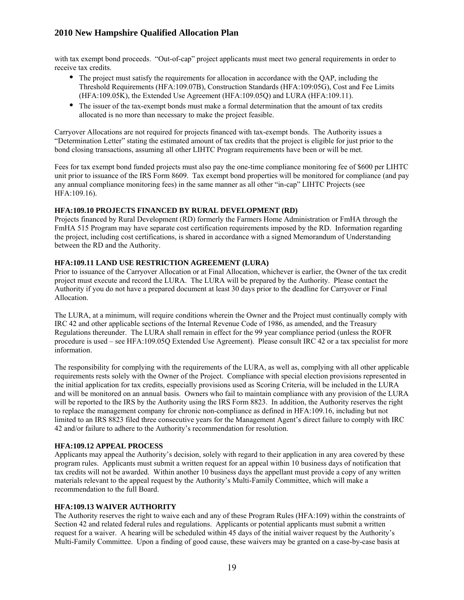with tax exempt bond proceeds. "Out-of-cap" project applicants must meet two general requirements in order to receive tax credits.

- The project must satisfy the requirements for allocation in accordance with the OAP, including the • The project must satisfy the requirements for allocation in accordance with the QAP, including the Threshold Requirements (HFA:109.07B), Construction Standards (HFA:109.05G), Cost and Fee Limits (HFA:109.05K), the Extended Use Agreement (HFA:109.05Q) and LURA (HFA:109.11).
- The issuer of the tax-exempt bonds must make a formal determination that the amount of tax credits allocated is no more than necessary to make the project feasible.

Carryover Allocations are not required for projects financed with tax-exempt bonds. The Authority issues a "Determination Letter" stating the estimated amount of tax credits that the project is eligible for just prior to the bond closing transactions, assuming all other LIHTC Program requirements have been or will be met.

unit prior to issuance of the IRS Form 8609. Tax exempt bond properties will be monitored for compliance (and pay Fees for tax exempt bond funded projects must also pay the one-time compliance monitoring fee of \$600 per LIHTC any annual compliance monitoring fees) in the same manner as all other "in-cap" LIHTC Projects (see HFA:109.16).

### **HFA:109.10 PROJECTS FINANCED BY RURAL DEVELOPMENT (RD)**

Projects financed by Rural Development (RD) formerly the Farmers Home Administration or FmHA through the FmHA 515 Program may have separate cost certification requirements imposed by the RD. Information regarding the project, including cost certifications, is shared in accordance with a signed Memorandum of Understanding between the RD and the Authority.

### **HFA:109.11 LAND USE RESTRICTION AGREEMENT (LURA)**

Prior to issuance of the Carryover Allocation or at Final Allocation, whichever is earlier, the Owner of the tax credit project must execute and record the LURA. The LURA will be prepared by the Authority. Please contact the Authority if you do not have a prepared document at least 30 days prior to the deadline for Carryover or Final Allocation.

The LURA, at a minimum, will require conditions wherein the Owner and the Project must continually comply with IRC 42 and other applicable sections of the Internal Revenue Code of 1986, as amended, and the Treasury Regulations thereunder. The LURA shall remain in effect for the 99 year compliance period (unless the ROFR procedure is used – see HFA:109.05Q Extended Use Agreement). Please consult IRC 42 or a tax specialist for more information.

the initial application for tax credits, especially provisions used as Scoring Criteria, will be included in the LURA and will be monitored on an annual basis. Owners who fail to maintain compliance with any provision of the LURA will be reported to the IRS by the Authority using the IRS Form 8823. In addition, the Authority reserves the right 42 and/or failure to adhere to the Authority's recommendation for resolution. The responsibility for complying with the requirements of the LURA, as well as, complying with all other applicable requirements rests solely with the Owner of the Project. Compliance with special election provisions represented in to replace the management company for chronic non-compliance as defined in HFA:109.16, including but not limited to an IRS 8823 filed three consecutive years for the Management Agent's direct failure to comply with IRC

#### **HFA:109.12 APPEAL PROCESS**

Applicants may appeal the Authority's decision, solely with regard to their application in any area covered by these program rules. Applicants must submit a written request for an appeal within 10 business days of notification that tax credits will not be awarded. Within another 10 business days the appellant must provide a copy of any written materials relevant to the appeal request by the Authority's Multi-Family Committee, which will make a recommendation to the full Board.

#### **HFA:109.13 WAIVER AUTHORITY**

The Authority reserves the right to waive each and any of these Program Rules (HFA:109) within the constraints of Multi-Family Committee. Upon a finding of good cause, these waivers may be granted on a case-by-case basis at Section 42 and related federal rules and regulations. Applicants or potential applicants must submit a written request for a waiver. A hearing will be scheduled within 45 days of the initial waiver request by the Authority's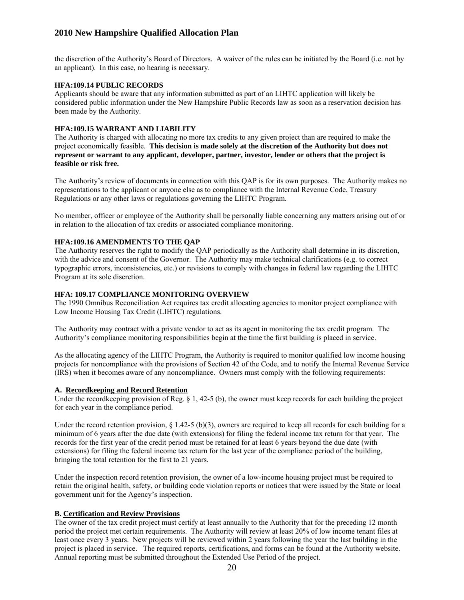the discretion of the Authority's Board of Directors. A waiver of the rules can be initiated by the Board (i.e. not by an applicant). In this case, no hearing is necessary.

### **HFA:109.14 PUBLIC RECORDS**

Applicants should be aware that any information submitted as part of an LIHTC application will likely be considered public information under the New Hampshire Public Records law as soon as a reservation decision has been made by the Authority.

### **FA:109.15 WARRANT AND LIABILITY H**

project economically feasible. This decision is made solely at the discretion of the Authority but does not **epresent or warrant to any applicant, developer, partner, investor, lender or others that the project is r** The Authority is charged with allocating no more tax credits to any given project than are required to make the **feasible or risk free.** 

The Authority's review of documents in connection with this QAP is for its own purposes. The Authority makes no representations to the applicant or anyone else as to compliance with the Internal Revenue Code, Treasury Regulations or any other laws or regulations governing the LIHTC Program.

No member, officer or employee of the Authority shall be personally liable concerning any matters arising out of or in relation to the allocation of tax credits or associated compliance monitoring.

# **HFA:109.16 AMENDMENTS TO THE QAP**

The Authority reserves the right to modify the QAP periodically as the Authority shall determine in its discretion, with the advice and consent of the Governor. The Authority may make technical clarifications (e.g. to correct typographic errors, inconsistencies, etc.) or revisions to comply with changes in federal law regarding the LIHTC Program at its sole discretion.

### **HFA: 109.17 COMPLIANCE MONITORING OVERVIEW**

The 1990 Omnibus Reconciliation Act requires tax credit allocating agencies to monitor project compliance with Low Income Housing Tax Credit (LIHTC) regulations.

The Authority may contract with a private vendor to act as its agent in monitoring the tax credit program. The Authority's compliance monitoring responsibilities begin at the time the first building is placed in service.

projects for noncompliance with the provisions of Section 42 of the Code, and to notify the Internal Revenue Service (IRS) when it becomes aware of any noncompliance. Owners must comply with the following requirements: As the allocating agency of the LIHTC Program, the Authority is required to monitor qualified low income housing

#### **A. Recordkeeping and Record Retention**

Under the recordkeeping provision of Reg.  $\S$  1, 42-5 (b), the owner must keep records for each building the project for each year in the compliance period.

Under the record retention provision,  $\S 1.42-5$  (b)(3), owners are required to keep all records for each building for a minimum of 6 years after the due date (with extensions) for filing the federal income tax return for that year. The records for the first year of the credit period must be retained for at least 6 years beyond the due date (with extensions) for filing the federal income tax return for the last year of the compliance period of the building, bringing the total retention for the first to 21 years.

retain the original health, safety, or building code violation reports or notices that were issued by the State or local government unit for the Agency's inspection. Under the inspection record retention provision, the owner of a low-income housing project must be required to

#### **B. Certification and Review Provisions**

The owner of the tax credit project must certify at least annually to the Authority that for the preceding 12 month period the project met certain requirements. The Authority will review at least 20% of low income tenant files at least once every 3 years. New projects will be reviewed within 2 years following the year the last building in the project is placed in service. The required reports, certifications, and forms can be found at the Authority website. Annual reporting must be submitted throughout the Extended Use Period of the project.